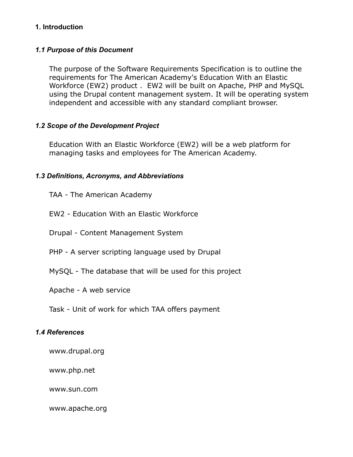## **1. Introduction**

## *1.1 Purpose of this Document*

The purpose of the Software Requirements Specification is to outline the requirements for The American Academy's Education With an Elastic Workforce (EW2) product . EW2 will be built on Apache, PHP and MySQL using the Drupal content management system. It will be operating system independent and accessible with any standard compliant browser.

### *1.2 Scope of the Development Project*

Education With an Elastic Workforce (EW2) will be a web platform for managing tasks and employees for The American Academy.

### *1.3 Definitions, Acronyms, and Abbreviations*

- TAA The American Academy
- EW2 Education With an Elastic Workforce
- Drupal Content Management System
- PHP A server scripting language used by Drupal
- MySQL The database that will be used for this project
- Apache A web service
- Task Unit of work for which TAA offers payment

### *1.4 References*

- www.drupal.org
- www.php.net

www.sun.com

www.apache.org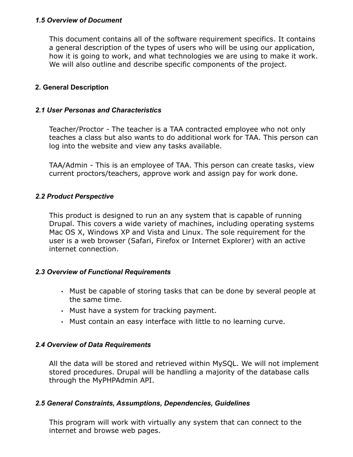## *1.5 Overview of Document*

This document contains all of the software requirement specifics. It contains a general description of the types of users who will be using our application, how it is going to work, and what technologies we are using to make it work. We will also outline and describe specific components of the project.

### **2. General Description**

#### *2.1 User Personas and Characteristics*

Teacher/Proctor - The teacher is a TAA contracted employee who not only teaches a class but also wants to do additional work for TAA. This person can log into the website and view any tasks available.

TAA/Admin - This is an employee of TAA. This person can create tasks, view current proctors/teachers, approve work and assign pay for work done.

### *2.2 Product Perspective*

This product is designed to run an any system that is capable of running Drupal. This covers a wide variety of machines, including operating systems Mac OS X, Windows XP and Vista and Linux. The sole requirement for the user is a web browser (Safari, Firefox or Internet Explorer) with an active internet connection.

#### *2.3 Overview of Functional Requirements*

- Must be capable of storing tasks that can be done by several people at the same time.
- Must have a system for tracking payment.
- Must contain an easy interface with little to no learning curve.

## *2.4 Overview of Data Requirements*

All the data will be stored and retrieved within MySQL. We will not implement stored procedures. Drupal will be handling a majority of the database calls through the MyPHPAdmin API.

#### *2.5 General Constraints, Assumptions, Dependencies, Guidelines*

This program will work with virtually any system that can connect to the internet and browse web pages.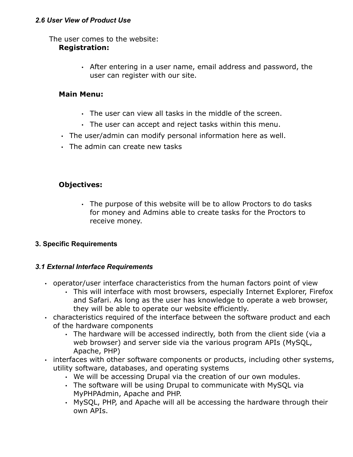## *2.6 User View of Product Use*

The user comes to the website: **Registration:**

> • After entering in a user name, email address and password, the user can register with our site.

## **Main Menu:**

- The user can view all tasks in the middle of the screen.
- The user can accept and reject tasks within this menu.
- The user/admin can modify personal information here as well.
- The admin can create new tasks

## **Objectives:**

• The purpose of this website will be to allow Proctors to do tasks for money and Admins able to create tasks for the Proctors to receive money.

## **3. Specific Requirements**

## *3.1 External Interface Requirements*

- operator/user interface characteristics from the human factors point of view
	- This will interface with most browsers, especially Internet Explorer, Firefox and Safari. As long as the user has knowledge to operate a web browser, they will be able to operate our website efficiently.
- characteristics required of the interface between the software product and each of the hardware components
	- The hardware will be accessed indirectly, both from the client side (via a web browser) and server side via the various program APIs (MySQL, Apache, PHP)
- interfaces with other software components or products, including other systems, utility software, databases, and operating systems
	- We will be accessing Drupal via the creation of our own modules.
	- The software will be using Drupal to communicate with MySQL via MyPHPAdmin, Apache and PHP.
	- MySQL, PHP, and Apache will all be accessing the hardware through their own APIs.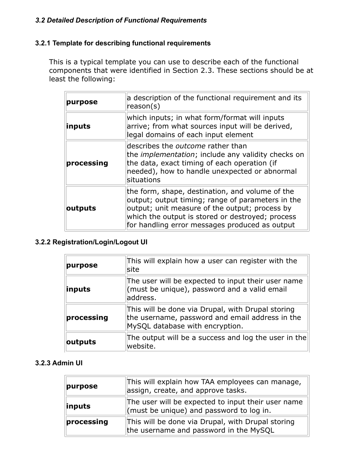# *3.2 Detailed Description of Functional Requirements*

# **3.2.1 Template for describing functional requirements**

This is a typical template you can use to describe each of the functional components that were identified in Section 2.3. These sections should be at least the following:

| purpose    | a description of the functional requirement and its<br>reason(s)                                                                                                                                                                                             |
|------------|--------------------------------------------------------------------------------------------------------------------------------------------------------------------------------------------------------------------------------------------------------------|
| inputs     | which inputs; in what form/format will inputs<br>arrive; from what sources input will be derived,<br>legal domains of each input element                                                                                                                     |
| processing | describes the <i>outcome</i> rather than<br>the <i>implementation</i> ; include any validity checks on<br>the data, exact timing of each operation (if<br>needed), how to handle unexpected or abnormal<br>situations                                        |
| outputs    | the form, shape, destination, and volume of the<br>output; output timing; range of parameters in the<br>output; unit measure of the output; process by<br>which the output is stored or destroyed; process<br>for handling error messages produced as output |

## **3.2.2 Registration/Login/Logout UI**

| purpose    | This will explain how a user can register with the<br>site                                                                              |
|------------|-----------------------------------------------------------------------------------------------------------------------------------------|
| inputs     | The user will be expected to input their user name<br>(must be unique), password and a valid email<br>address.                          |
| processing | This will be done via Drupal, with Drupal storing<br>the username, password and email address in the<br>MySQL database with encryption. |
| outputs    | The output will be a success and log the user in the<br>website.                                                                        |

## **3.2.3 Admin UI**

| purpose    | This will explain how TAA employees can manage,<br>assign, create, and approve tasks.          |
|------------|------------------------------------------------------------------------------------------------|
| inputs     | The user will be expected to input their user name<br>(must be unique) and password to log in. |
| processing | This will be done via Drupal, with Drupal storing<br>the username and password in the MySQL    |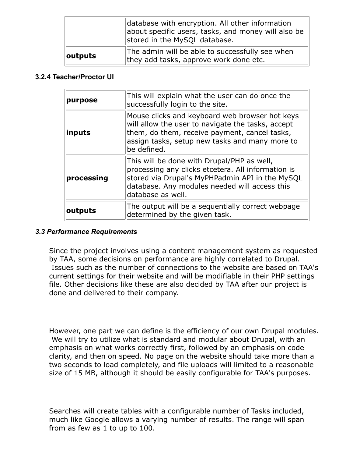|         | database with encryption. All other information<br>about specific users, tasks, and money will also be<br>stored in the MySQL database. |
|---------|-----------------------------------------------------------------------------------------------------------------------------------------|
| outputs | The admin will be able to successfully see when<br>they add tasks, approve work done etc.                                               |

### **3.2.4 Teacher/Proctor UI**

| purpose    | This will explain what the user can do once the<br>successfully login to the site.                                                                                                                                        |
|------------|---------------------------------------------------------------------------------------------------------------------------------------------------------------------------------------------------------------------------|
| inputs     | Mouse clicks and keyboard web browser hot keys<br>will allow the user to navigate the tasks, accept<br>them, do them, receive payment, cancel tasks,<br>assign tasks, setup new tasks and many more to<br>be defined.     |
| processing | This will be done with Drupal/PHP as well,<br>processing any clicks etcetera. All information is<br>stored via Drupal's MyPHPadmin API in the MySQL<br>database. Any modules needed will access this<br>database as well. |
| outputs    | The output will be a sequentially correct webpage<br>determined by the given task.                                                                                                                                        |

#### *3.3 Performance Requirements*

Since the project involves using a content management system as requested by TAA, some decisions on performance are highly correlated to Drupal. Issues such as the number of connections to the website are based on TAA's current settings for their website and will be modifiable in their PHP settings file. Other decisions like these are also decided by TAA after our project is done and delivered to their company.

However, one part we can define is the efficiency of our own Drupal modules. We will try to utilize what is standard and modular about Drupal, with an emphasis on what works correctly first, followed by an emphasis on code clarity, and then on speed. No page on the website should take more than a two seconds to load completely, and file uploads will limited to a reasonable size of 15 MB, although it should be easily configurable for TAA's purposes.

Searches will create tables with a configurable number of Tasks included, much like Google allows a varying number of results. The range will span from as few as 1 to up to 100.